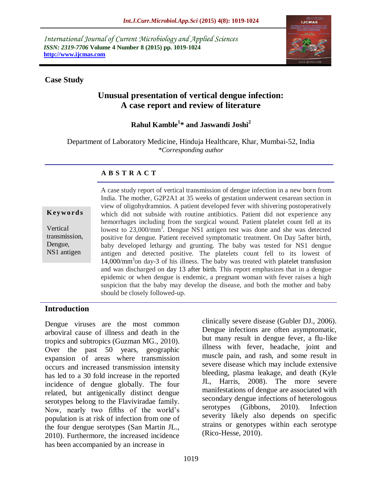*International Journal of Current Microbiology and Applied Sciences ISSN: 2319-7706* **Volume 4 Number 8 (2015) pp. 1019-1024 http://www.ijcmas.com** 



### **Case Study**

# **Unusual presentation of vertical dengue infection: A case report and review of literature**

**Rahul Kamble<sup>1</sup> \* and Jaswandi Joshi<sup>2</sup>**

Department of Laboratory Medicine, Hinduja Healthcare, Khar, Mumbai-52, India *\*Corresponding author*

### **A B S T R A C T**

**K ey w o rd s**

Vertical transmission, Dengue, NS1 antigen

A case study report of vertical transmission of dengue infection in a new born from India. The mother, G2P2A1 at 35 weeks of gestation underwent cesarean section in view of oligohydramnios. A patient developed fever with shivering postoperatively which did not subside with routine antibiotics. Patient did not experience any hemorrhages including from the surgical wound. Patient platelet count fell at its lowest to 23,000/mm<sup>3</sup>. Dengue NS1 antigen test was done and she was detected positive for dengue. Patient received symptomatic treatment. On Day 5after birth, baby developed lethargy and grunting. The baby was tested for NS1 dengue antigen and detected positive. The platelets count fell to its lowest of 14,000/mm<sup>3</sup>on day-3 of his illness. The baby was treated with platelet transfusion and was discharged on day 13 after birth. This report emphasizes that in a dengue epidemic or when dengue is endemic, a pregnant woman with fever raises a high suspicion that the baby may develop the disease, and both the mother and baby should be closely followed-up.

#### **Introduction**

Dengue viruses are the most common arboviral cause of illness and death in the tropics and subtropics (Guzman MG., 2010). Over the past 50 years, geographic expansion of areas where transmission occurs and increased transmission intensity has led to a 30 fold increase in the reported incidence of dengue globally. The four related, but antigenically distinct dengue serotypes belong to the Flaviviradae family. Now, nearly two fifths of the world's population is at risk of infection from one of the four dengue serotypes (San Martin JL., 2010). Furthermore, the increased incidence has been accompanied by an increase in

clinically severe disease (Gubler DJ., 2006). Dengue infections are often asymptomatic, but many result in dengue fever, a flu-like illness with fever, headache, joint and muscle pain, and rash, and some result in severe disease which may include extensive bleeding, plasma leakage, and death (Kyle JL, Harris, 2008). The more severe manifestations of dengue are associated with secondary dengue infections of heterologous serotypes (Gibbons, 2010). Infection severity likely also depends on specific strains or genotypes within each serotype (Rico-Hesse, 2010).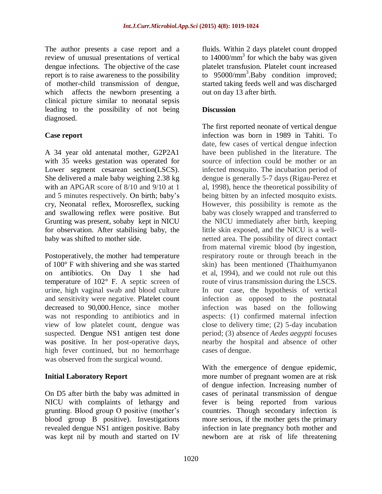The author presents a case report and a review of unusual presentations of vertical dengue infections. The objective of the case report is to raise awareness to the possibility of mother-child transmission of dengue, which affects the newborn presenting a clinical picture similar to neonatal sepsis leading to the possibility of not being diagnosed.

## **Case report**

A 34 year old antenatal mother, G2P2A1 with 35 weeks gestation was operated for Lower segment cesarean section(LSCS). She delivered a male baby weighing 2.38 kg with an APGAR score of 8/10 and 9/10 at 1 and 5 minutes respectively. On birth; baby's cry, Neonatal reflex, Morosreflex, sucking and swallowing reflex were positive. But Grunting was present, sobaby kept in NICU for observation. After stabilising baby, the baby was shifted to mother side.

Postoperatively, the mother had temperature of 100° F with shivering and she was started on antibiotics. On Day 1 she had temperature of 102° F. A septic screen of urine, high vaginal swab and blood culture and sensitivity were negative. Platelet count decreased to 90,000.Hence, since mother was not responding to antibiotics and in view of low platelet count, dengue was suspected. Dengue NS1 antigen test done was positive. In her post-operative days, high fever continued, but no hemorrhage was observed from the surgical wound.

## **Initial Laboratory Report**

On D5 after birth the baby was admitted in NICU with complaints of lethargy and grunting. Blood group O positive (mother's blood group B positive). Investigations revealed dengue NS1 antigen positive. Baby was kept nil by mouth and started on IV fluids. Within 2 days platelet count dropped to  $14000/\text{mm}^3$  for which the baby was given platelet transfusion. Platelet count increased to  $95000/\text{mm}^3$ .Baby condition improved; started taking feeds well and was discharged out on day 13 after birth.

## **Discussion**

The first reported neonate of vertical dengue infection was born in 1989 in Tahiti. To date, few cases of vertical dengue infection have been published in the literature. The source of infection could be mother or an infected mosquito. The incubation period of dengue is generally 5-7 days (Rigau-Perez et al, 1998), hence the theoretical possibility of being bitten by an infected mosquito exists. However, this possibility is remote as the baby was closely wrapped and transferred to the NICU immediately after birth, keeping little skin exposed, and the NICU is a wellnetted area. The possibility of direct contact from maternal viremic blood (by ingestion, respiratory route or through breach in the skin) has been mentioned (Thaithumyanon et al, 1994), and we could not rule out this route of virus transmission during the LSCS. In our case, the hypothesis of vertical infection as opposed to the postnatal infection was based on the following aspects: (1) confirmed maternal infection close to delivery time; (2) 5-day incubation period; (3) absence of *Aedes aegypti* focuses nearby the hospital and absence of other cases of dengue.

With the emergence of dengue epidemic, more number of pregnant women are at risk of dengue infection. Increasing number of cases of perinatal transmission of dengue fever is being reported from various countries. Though secondary infection is more serious, if the mother gets the primary infection in late pregnancy both mother and newborn are at risk of life threatening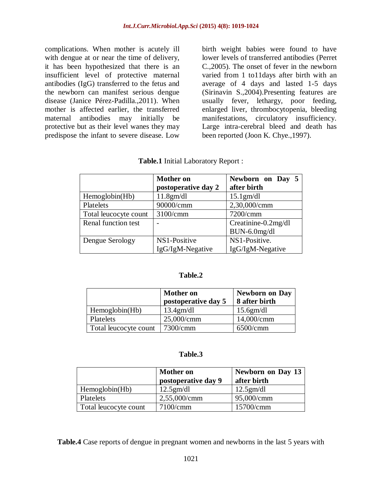complications. When mother is acutely ill with dengue at or near the time of delivery, it has been hypothesized that there is an insufficient level of protective maternal antibodies (IgG) transferred to the fetus and the newborn can manifest serious dengue disease (Janice Pérez-Padilla.,2011). When mother is affected earlier, the transferred maternal antibodies may initially be protective but as their level wanes they may predispose the infant to severe disease. Low

birth weight babies were found to have lower levels of transferred antibodies (Perret C.,2005). The onset of fever in the newborn varied from 1 to11days after birth with an average of 4 days and lasted 1-5 days (Sirinavin S.,2004).Presenting features are usually fever, lethargy, poor feeding, enlarged liver, thrombocytopenia, bleeding manifestations, circulatory insufficiency. Large intra-cerebral bleed and death has been reported (Joon K. Chye.,1997).

|                       | <b>Mother on</b>    | Newborn on Day 5    |
|-----------------------|---------------------|---------------------|
|                       | postoperative day 2 | after birth         |
| Hemoglobin(Hb)        | 11.8gm/dl           | $15.1$ gm/dl        |
| Platelets             | 90000/cmm           | 2,30,000/cmm        |
| Total leucocyte count | 3100/cmm            | 7200/cmm            |
| Renal function test   |                     | Creatinine-0.2mg/dl |
|                       |                     | BUN-6.0mg/dl        |
| Dengue Serology       | NS1-Positive        | NS1-Positive.       |
|                       | IgG/IgM-Negative    | IgG/IgM-Negative    |

|  |  | Table.1 Initial Laboratory Report : |  |  |
|--|--|-------------------------------------|--|--|
|--|--|-------------------------------------|--|--|

#### **Table.2**

|                       | <b>Mother on</b><br>postoperative day 5 | <b>Newborn on Day</b><br>8 after birth |
|-----------------------|-----------------------------------------|----------------------------------------|
| Hemoglobin(Hb)        | 13.4gm/dl                               | 15.6gm/dl                              |
| Platelets             | 25,000/cmm                              | 14,000/cmm                             |
| Total leucocyte count | 7300/cmm                                | 6500/cmm                               |

#### **Table.3**

|                       | <b>Mother on</b><br>postoperative day 9 | <b>Newborn on Day 13</b><br>after birth |
|-----------------------|-----------------------------------------|-----------------------------------------|
| Hemoglobin(Hb)        | 12.5gm/dl                               | 12.5gm/dl                               |
| Platelets             | 2,55,000/cmm                            | 95,000/cmm                              |
| Total leucocyte count | 7100/cmm                                | 15700/cmm                               |

**Table.4** Case reports of dengue in pregnant women and newborns in the last 5 years with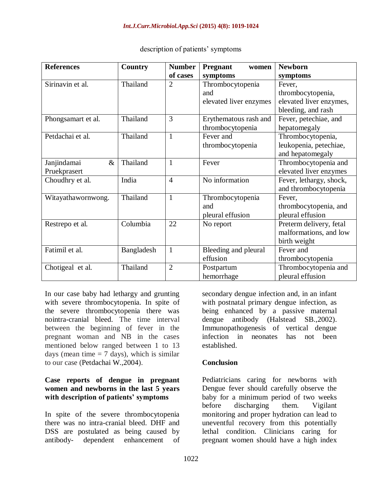| <b>References</b>   | Country    | <b>Number</b>  | <b>Pregnant</b><br>women | <b>Newborn</b>          |
|---------------------|------------|----------------|--------------------------|-------------------------|
|                     |            | of cases       | symptoms                 | symptoms                |
| Sirinavin et al.    | Thailand   | $\overline{2}$ | Thrombocytopenia         | Fever,                  |
|                     |            |                | and                      | thrombocytopenia,       |
|                     |            |                | elevated liver enzymes   | elevated liver enzymes, |
|                     |            |                |                          | bleeding, and rash      |
| Phongsamart et al.  | Thailand   | 3              | Erythematous rash and    | Fever, petechiae, and   |
|                     |            |                | thrombocytopenia         | hepatomegaly            |
| Petdachai et al.    | Thailand   | 1              | Fever and                | Thrombocytopenia,       |
|                     |            |                | thrombocytopenia         | leukopenia, petechiae,  |
|                     |            |                |                          | and hepatomegaly        |
| Janjindamai<br>$\&$ | Thailand   | $\mathbf{1}$   | Fever                    | Thrombocytopenia and    |
| Pruekprasert        |            |                |                          | elevated liver enzymes  |
| Choudhry et al.     | India      | $\overline{4}$ | No information           | Fever, lethargy, shock, |
|                     |            |                |                          | and thrombocytopenia    |
| Witayathawornwong.  | Thailand   | $\mathbf{1}$   | Thrombocytopenia         | Fever,                  |
|                     |            |                | and                      | thrombocytopenia, and   |
|                     |            |                | pleural effusion         | pleural effusion        |
| Restrepo et al.     | Columbia   | 22             | No report                | Preterm delivery, fetal |
|                     |            |                |                          | malformations, and low  |
|                     |            |                |                          | birth weight            |
| Fatimil et al.      | Bangladesh | $\mathbf{1}$   | Bleeding and pleural     | Fever and               |
|                     |            |                | effusion                 | thrombocytopenia        |
| Chotigeal et al.    | Thailand   | $\overline{2}$ | Postpartum               | Thrombocytopenia and    |
|                     |            |                | hemorrhage               | pleural effusion        |

### description of patients' symptoms

In our case baby had lethargy and grunting with severe thrombocytopenia. In spite of the severe thrombocytopenia there was nointra-cranial bleed. The time interval between the beginning of fever in the pregnant woman and NB in the cases mentioned below ranged between 1 to 13 days (mean time  $= 7$  days), which is similar to our case (Petdachai W.,2004).

### **Case reports of dengue in pregnant women and newborns in the last 5 years with description of patients' symptoms**

In spite of the severe thrombocytopenia there was no intra-cranial bleed. DHF and DSS are postulated as being caused by antibody- dependent enhancement of secondary dengue infection and, in an infant with postnatal primary dengue infection, as being enhanced by a passive maternal dengue antibody (Halstead SB.,2002). Immunopathogenesis of vertical dengue infection in neonates has not been established.

## **Conclusion**

Pediatricians caring for newborns with Dengue fever should carefully observe the baby for a minimum period of two weeks before discharging them. Vigilant monitoring and proper hydration can lead to uneventful recovery from this potentially lethal condition. Clinicians caring for pregnant women should have a high index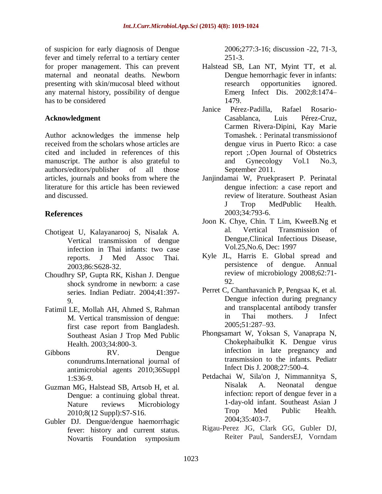of suspicion for early diagnosis of Dengue fever and timely referral to a tertiary center for proper management. This can prevent maternal and neonatal deaths. Newborn presenting with skin/mucosal bleed without any maternal history, possibility of dengue has to be considered

## **Acknowledgment**

Author acknowledges the immense help received from the scholars whose articles are cited and included in references of this manuscript. The author is also grateful to authors/editors/publisher of all those articles, journals and books from where the literature for this article has been reviewed and discussed.

## **References**

- Chotigeat U, Kalayanarooj S, Nisalak A. Vertical transmission of dengue infection in Thai infants: two case reports. J Med Assoc Thai. 2003;86:S628-32.
- Choudhry SP, Gupta RK, Kishan J. Dengue shock syndrome in newborn: a case series. Indian Pediatr. 2004;41:397- 9.
- Fatimil LE, Mollah AH, Ahmed S, Rahman M. Vertical transmission of dengue: first case report from Bangladesh. Southeast Asian J Trop Med Public Health. 2003;34:800-3.
- Gibbons RV. Dengue conundrums.International journal of antimicrobial agents 2010;36Suppl 1:S36-9.
- Guzman MG, Halstead SB, Artsob H, et al. Dengue: a continuing global threat. Nature reviews Microbiology 2010;8(12 Suppl):S7-S16.
- Gubler DJ. Dengue/dengue haemorrhagic fever: history and current status. Novartis Foundation symposium

2006;277:3-16; discussion -22, 71-3, 251-3.

- Halstead SB, Lan NT, Myint TT, et al. Dengue hemorrhagic fever in infants: research opportunities ignored. Emerg Infect Dis. 2002;8:1474– 1479.
- Janice Pérez-Padilla, Rafael Rosario-Casablanca, Luis Pérez-Cruz, Carmen Rivera-Dipini, Kay Marie Tomashek. : Perinatal transmissionof dengue virus in Puerto Rico: a case report ;.Open Journal of Obstetrics and Gynecology Vol.1 No.3, September 2011.
- Janjindamai W, Pruekprasert P. Perinatal dengue infection: a case report and review of literature. Southeast Asian J Trop MedPublic Health. 2003;34:793-6.
- Joon K. Chye, Chin. T Lim, KweeB.Ng et al. Vertical Transmission of Dengue,Clinical Infectious Disease, Vol.25,No.6, Dec: 1997
- Kyle JL, Harris E. Global spread and persistence of dengue. Annual review of microbiology 2008;62:71- 92.
- Perret C, Chanthavanich P, Pengsaa K, et al. Dengue infection during pregnancy and transplacental antibody transfer in Thai mothers. J Infect 2005;51:287–93.
- Phongsamart W, Yoksan S, Vanaprapa N, Chokephaibulkit K. Dengue virus infection in late pregnancy and transmission to the infants. Pediatr Infect Dis J. 2008;27:500-4.
- Petdachai W, Sila'on J, Nimmannitya S, Nisalak A. Neonatal dengue infection: report of dengue fever in a 1-day-old infant. Southeast Asian J Trop Med Public Health. 2004;35:403-7.
- Rigau-Perez JG, Clark GG, Gubler DJ, Reiter Paul, SandersEJ, Vorndam